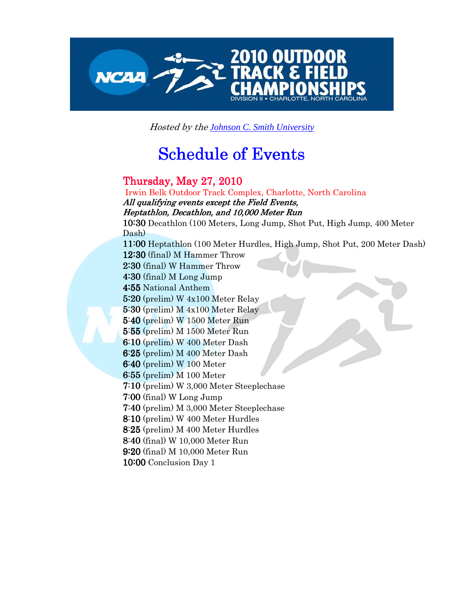

Hosted by the *Johnson C. Smith University*

## **Schedule of Events**

## Thursday, May 27, 2010 27, 2010

 Irwin Belk Outdoor Track Complex, Charlotte, North Carolina All qualifying events except the Field Events, Heptathlon, Decathlon, and 10,000 Meter Run 10:30 Decathlon (100 Meters, Long Jump, Shot Put, High Jump, 400 Meter Dash) 11:00 Heptathlon (100 Meter Hurdles, High Jump, Shot Put, 200 Meter Dash) 12:30 (final) M Hammer Throw 2:30 (final) W Hammer Throw 4:30 (final) M Long Jump 4:55 National Anthem 5:20 (prelim) W 4x100 Meter Relay 5:30 (prelim) M 4x100 Meter Relay 5:40 (prelim) W 1500 Meter Run 5:55 (prelim) M 1500 Meter Run 6:10 (prelim) W 400 Meter Dash 6:25 (prelim) M 400 Meter Dash 6:40 (prelim) W 100 Meter 6:55 (prelim) M 100 Meter 7:10 (prelim) W 3,000 Meter Steeplechase 7:00 (final) W Long Jump 7:40 (prelim) M 3,000 Meter Steeplechase 8:10 (prelim) W 400 Meter Hurdles 8:25 (prelim) M 400 Meter Hurdles 8:40 (final) W 10,000 Meter Run 9:20 (final) M 10,000 Meter Run 10:00 Conclusion Day 1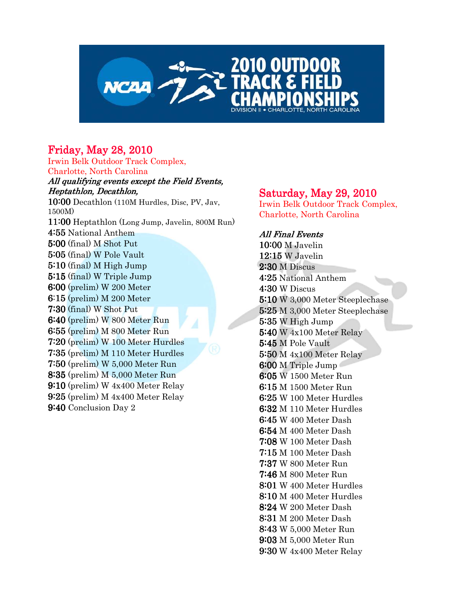

## **Friday, May 28, 2010**

Irwin Belk Outdoor Track Complex, Charlotte, North Carolina All qualifying events except the Field Events, Heptathlon, Decathlon, 10:00 Decathlon (110M Hurdles, Disc, PV, Jav, 1500M) 11:00 Heptathlon (Long Jump, Javelin, 800M Run) 4:55 National Anthem 5:00 (final) M Shot Put 5:05 (final) W Pole Vault 5:10 (final) M High Jump 5:15 (final) W Triple Jump 6:00 (prelim) W 200 Meter 6:15 (prelim) M 200 Meter 7:30 (final) W Shot Put 6:40 (prelim) W 800 Meter Run 6:55 (prelim) M 800 Meter Run 7:20 (prelim) W 100 Meter Hurdles 7:35 (prelim) M 110 Meter Hurdles 7:50(prelim) W 5,000 Meter Run 8:35(prelim) M 5,000 Meter Run 9:10 (prelim) W 4x400 Meter Relay 9:25 (prelim) M 4x400 Meter Relay 9:40 Conclusion Day 2

## Saturday, May 29,  $2010$

Irwin Belk Outdoor Track Complex, Charlotte, North Carolina

**All Final Events** 10:00 M Javelin 12:15 W Javelin 2:30 M Discus 4:25 National Anthem 4:30 W Discus 5:10 W 3,000 Meter Steeplechase 5:25 M 3,000 Meter Steeplechase 5:35 W High Jump 5:40 W 4x100 Meter Relay 5:45 M Pole Vault 5:50 M 4x100 Meter Relay 6:00 M Triple Jump 6:05 W 1500 Meter Run 6:15 M 1500 Meter Run 6:25 W 100 Meter Hurdles 6:32 M 110 Meter Hurdles 6:45 W 400 Meter Dash 6:54 M 400 Meter Dash 7:08 W 100 Meter Dash 7:15 M 100 Meter Dash 7:37 W 800 Meter Run 7:46 M 800 Meter Run 8:01 W 400 Meter Hurdles 8:10 M 400 Meter Hurdles 8:24 W 200 Meter Dash 8:31 M 200 Meter Dash 8:43 W 5,000 Meter Run 9:03 M 5,000 Meter Run 9:30W 4x400 Meter Relay